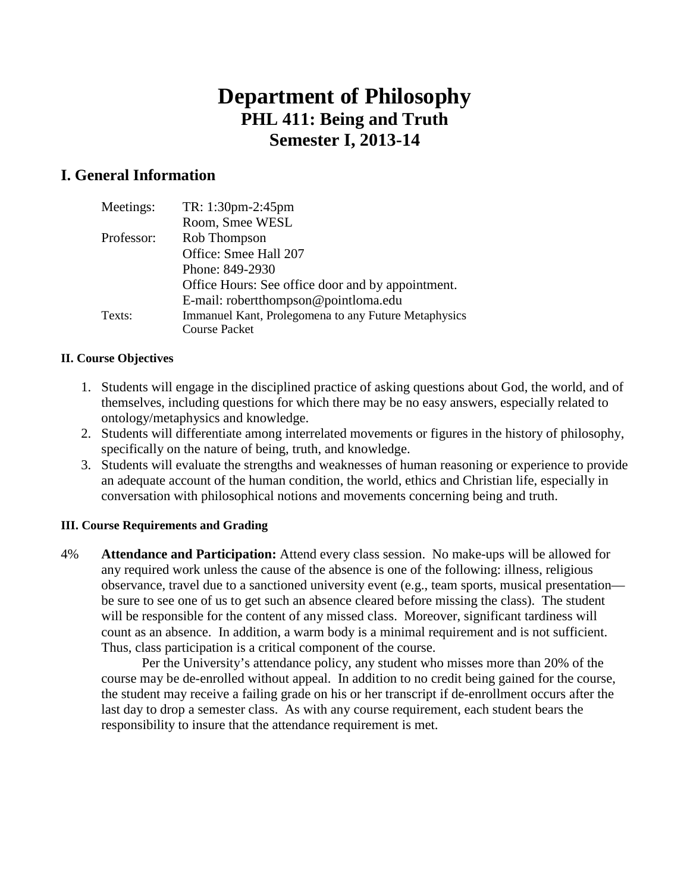# **Department of Philosophy PHL 411: Being and Truth Semester I, 2013-14**

## **I. General Information**

| Meetings:  | TR: 1:30pm-2:45pm                                    |
|------------|------------------------------------------------------|
|            | Room, Smee WESL                                      |
| Professor: | Rob Thompson                                         |
|            | Office: Smee Hall 207                                |
|            | Phone: 849-2930                                      |
|            | Office Hours: See office door and by appointment.    |
|            | E-mail: robertthompson@pointloma.edu                 |
| Texts:     | Immanuel Kant, Prolegomena to any Future Metaphysics |
|            | <b>Course Packet</b>                                 |

#### **II. Course Objectives**

- 1. Students will engage in the disciplined practice of asking questions about God, the world, and of themselves, including questions for which there may be no easy answers, especially related to ontology/metaphysics and knowledge.
- 2. Students will differentiate among interrelated movements or figures in the history of philosophy, specifically on the nature of being, truth, and knowledge.
- 3. Students will evaluate the strengths and weaknesses of human reasoning or experience to provide an adequate account of the human condition, the world, ethics and Christian life, especially in conversation with philosophical notions and movements concerning being and truth.

### **III. Course Requirements and Grading**

4% **Attendance and Participation:** Attend every class session. No make-ups will be allowed for any required work unless the cause of the absence is one of the following: illness, religious observance, travel due to a sanctioned university event (e.g., team sports, musical presentation be sure to see one of us to get such an absence cleared before missing the class). The student will be responsible for the content of any missed class. Moreover, significant tardiness will count as an absence. In addition, a warm body is a minimal requirement and is not sufficient. Thus, class participation is a critical component of the course.

Per the University's attendance policy, any student who misses more than 20% of the course may be de-enrolled without appeal. In addition to no credit being gained for the course, the student may receive a failing grade on his or her transcript if de-enrollment occurs after the last day to drop a semester class. As with any course requirement, each student bears the responsibility to insure that the attendance requirement is met.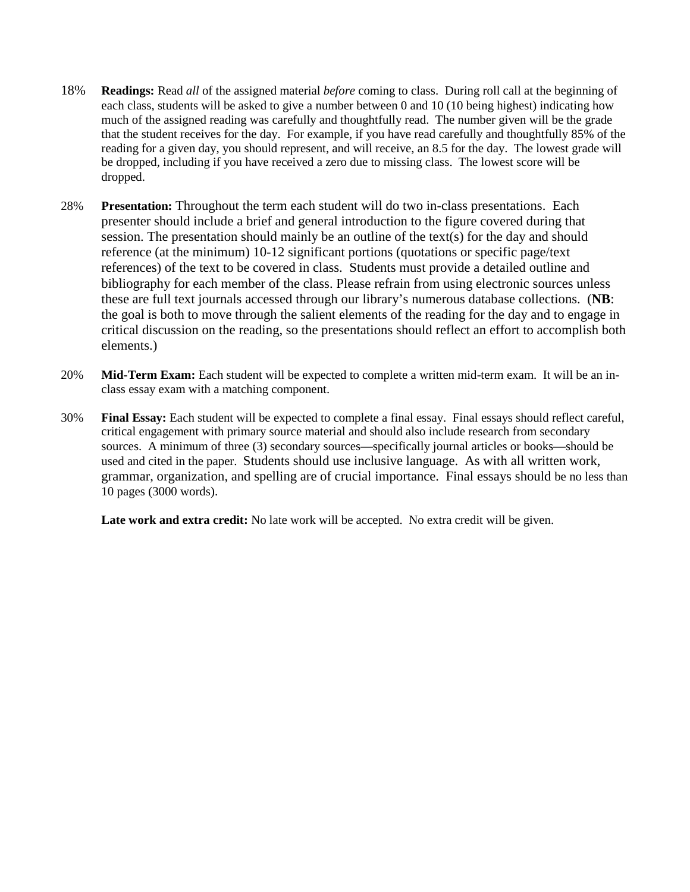- 18% **Readings:** Read *all* of the assigned material *before* coming to class. During roll call at the beginning of each class, students will be asked to give a number between 0 and 10 (10 being highest) indicating how much of the assigned reading was carefully and thoughtfully read. The number given will be the grade that the student receives for the day. For example, if you have read carefully and thoughtfully 85% of the reading for a given day, you should represent, and will receive, an 8.5 for the day. The lowest grade will be dropped, including if you have received a zero due to missing class. The lowest score will be dropped.
- 28% **Presentation:** Throughout the term each student will do two in-class presentations. Each presenter should include a brief and general introduction to the figure covered during that session. The presentation should mainly be an outline of the text(s) for the day and should reference (at the minimum) 10-12 significant portions (quotations or specific page/text references) of the text to be covered in class. Students must provide a detailed outline and bibliography for each member of the class. Please refrain from using electronic sources unless these are full text journals accessed through our library's numerous database collections. (**NB**: the goal is both to move through the salient elements of the reading for the day and to engage in critical discussion on the reading, so the presentations should reflect an effort to accomplish both elements.)
- 20% **Mid-Term Exam:** Each student will be expected to complete a written mid-term exam. It will be an inclass essay exam with a matching component.
- 30% **Final Essay:** Each student will be expected to complete a final essay. Final essays should reflect careful, critical engagement with primary source material and should also include research from secondary sources. A minimum of three (3) secondary sources—specifically journal articles or books—should be used and cited in the paper. Students should use inclusive language. As with all written work, grammar, organization, and spelling are of crucial importance. Final essays should be no less than 10 pages (3000 words).

Late work and extra credit: No late work will be accepted. No extra credit will be given.